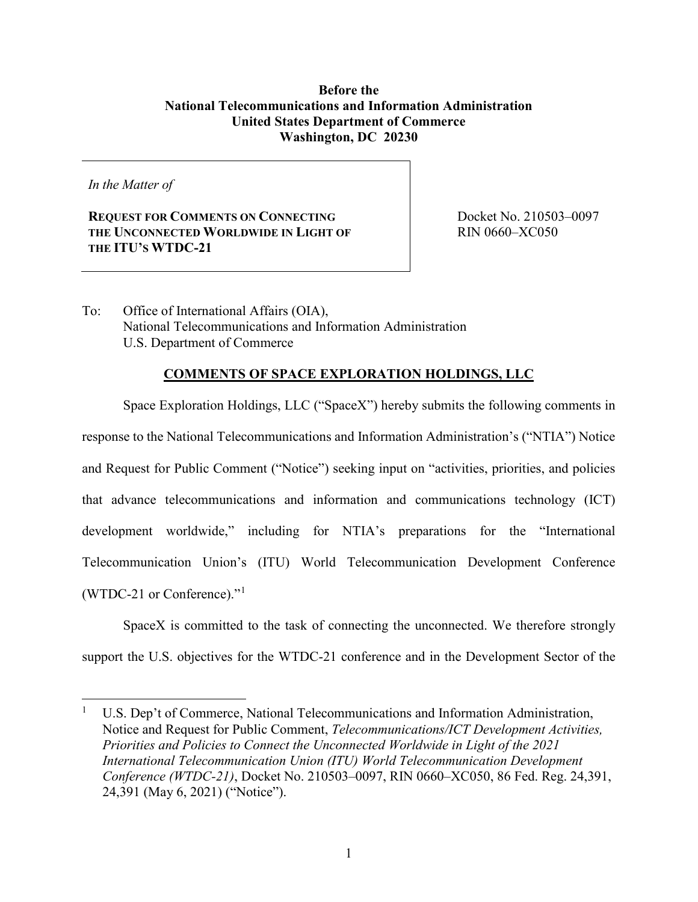## **Before the National Telecommunications and Information Administration United States Department of Commerce Washington, DC 20230**

*In the Matter of*

 $\overline{a}$ 

**REQUEST FOR COMMENTS ON CONNECTING THE UNCONNECTED WORLDWIDE IN LIGHT OF THE ITU'S WTDC-21** 

 Docket No. 210503–0097 RIN 0660–XC050

To: Office of International Affairs (OIA), National Telecommunications and Information Administration U.S. Department of Commerce

## **COMMENTS OF SPACE EXPLORATION HOLDINGS, LLC**

Space Exploration Holdings, LLC ("SpaceX") hereby submits the following comments in response to the National Telecommunications and Information Administration's ("NTIA") Notice and Request for Public Comment ("Notice") seeking input on "activities, priorities, and policies that advance telecommunications and information and communications technology (ICT) development worldwide," including for NTIA's preparations for the "International Telecommunication Union's (ITU) World Telecommunication Development Conference (WTDC-21 or Conference)."<sup>1</sup>

SpaceX is committed to the task of connecting the unconnected. We therefore strongly support the U.S. objectives for the WTDC-21 conference and in the Development Sector of the

<sup>1</sup> U.S. Dep't of Commerce, National Telecommunications and Information Administration, Notice and Request for Public Comment, *Telecommunications/ICT Development Activities, Priorities and Policies to Connect the Unconnected Worldwide in Light of the 2021 International Telecommunication Union (ITU) World Telecommunication Development Conference (WTDC-21)*, Docket No. 210503–0097, RIN 0660–XC050, 86 Fed. Reg. 24,391, 24,391 (May 6, 2021) ("Notice").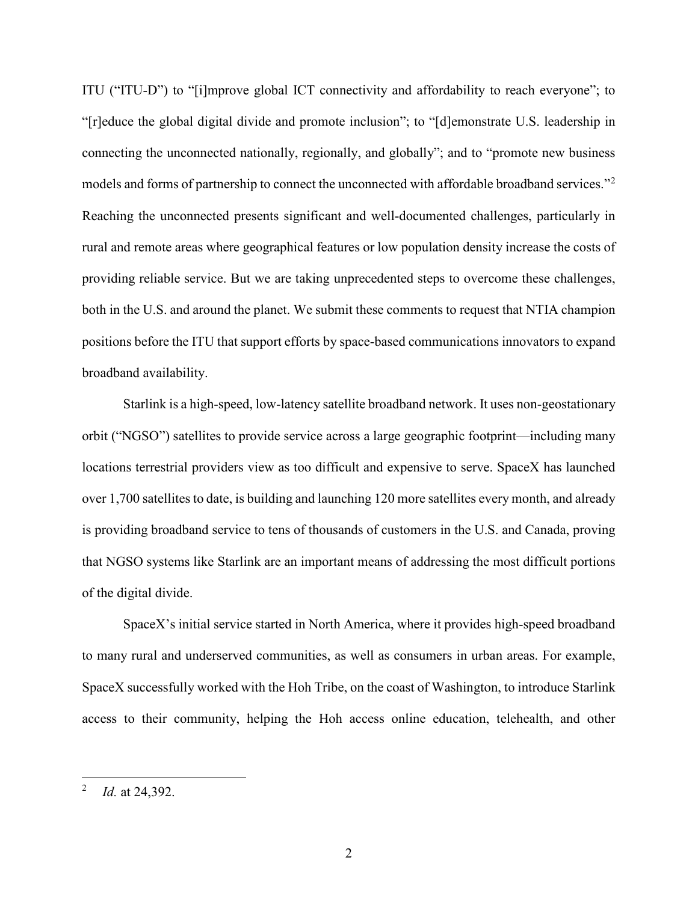ITU ("ITU-D") to "[i]mprove global ICT connectivity and affordability to reach everyone"; to "[r]educe the global digital divide and promote inclusion"; to "[d]emonstrate U.S. leadership in connecting the unconnected nationally, regionally, and globally"; and to "promote new business models and forms of partnership to connect the unconnected with affordable broadband services."<sup>2</sup> Reaching the unconnected presents significant and well-documented challenges, particularly in rural and remote areas where geographical features or low population density increase the costs of providing reliable service. But we are taking unprecedented steps to overcome these challenges, both in the U.S. and around the planet. We submit these comments to request that NTIA champion positions before the ITU that support efforts by space-based communications innovators to expand broadband availability.

Starlink is a high-speed, low-latency satellite broadband network. It uses non-geostationary orbit ("NGSO") satellites to provide service across a large geographic footprint—including many locations terrestrial providers view as too difficult and expensive to serve. SpaceX has launched over 1,700 satellites to date, is building and launching 120 more satellites every month, and already is providing broadband service to tens of thousands of customers in the U.S. and Canada, proving that NGSO systems like Starlink are an important means of addressing the most difficult portions of the digital divide.

SpaceX's initial service started in North America, where it provides high-speed broadband to many rural and underserved communities, as well as consumers in urban areas. For example, SpaceX successfully worked with the Hoh Tribe, on the coast of Washington, to introduce Starlink access to their community, helping the Hoh access online education, telehealth, and other

 $\overline{a}$ 

<sup>2</sup> *Id.* at 24,392.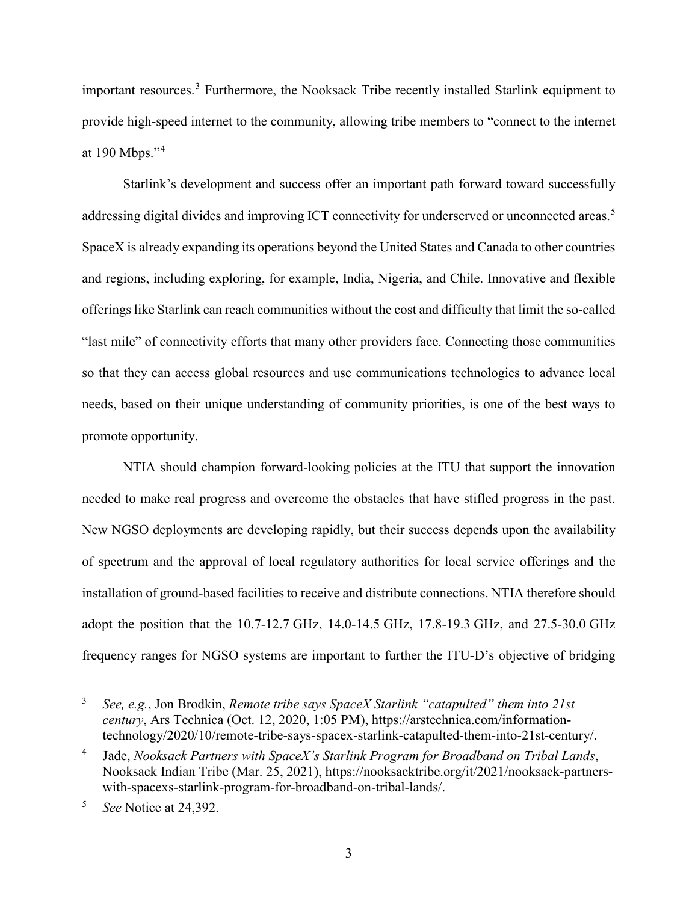important resources.<sup>3</sup> Furthermore, the Nooksack Tribe recently installed Starlink equipment to provide high-speed internet to the community, allowing tribe members to "connect to the internet at 190 Mbps."<sup>4</sup>

Starlink's development and success offer an important path forward toward successfully addressing digital divides and improving ICT connectivity for underserved or unconnected areas.<sup>5</sup> SpaceX is already expanding its operations beyond the United States and Canada to other countries and regions, including exploring, for example, India, Nigeria, and Chile. Innovative and flexible offerings like Starlink can reach communities without the cost and difficulty that limit the so-called "last mile" of connectivity efforts that many other providers face. Connecting those communities so that they can access global resources and use communications technologies to advance local needs, based on their unique understanding of community priorities, is one of the best ways to promote opportunity.

NTIA should champion forward-looking policies at the ITU that support the innovation needed to make real progress and overcome the obstacles that have stifled progress in the past. New NGSO deployments are developing rapidly, but their success depends upon the availability of spectrum and the approval of local regulatory authorities for local service offerings and the installation of ground-based facilities to receive and distribute connections. NTIA therefore should adopt the position that the 10.7-12.7 GHz, 14.0-14.5 GHz, 17.8-19.3 GHz, and 27.5-30.0 GHz frequency ranges for NGSO systems are important to further the ITU-D's objective of bridging

 $\overline{a}$ 

<sup>3</sup> *See, e.g.*, Jon Brodkin, *Remote tribe says SpaceX Starlink "catapulted" them into 21st century*, Ars Technica (Oct. 12, 2020, 1:05 PM), https://arstechnica.com/informationtechnology/2020/10/remote-tribe-says-spacex-starlink-catapulted-them-into-21st-century/.

<sup>4</sup> Jade, *Nooksack Partners with SpaceX's Starlink Program for Broadband on Tribal Lands*, Nooksack Indian Tribe (Mar. 25, 2021), https://nooksacktribe.org/it/2021/nooksack-partnerswith-spacexs-starlink-program-for-broadband-on-tribal-lands/.

<sup>5</sup> *See* Notice at 24,392.